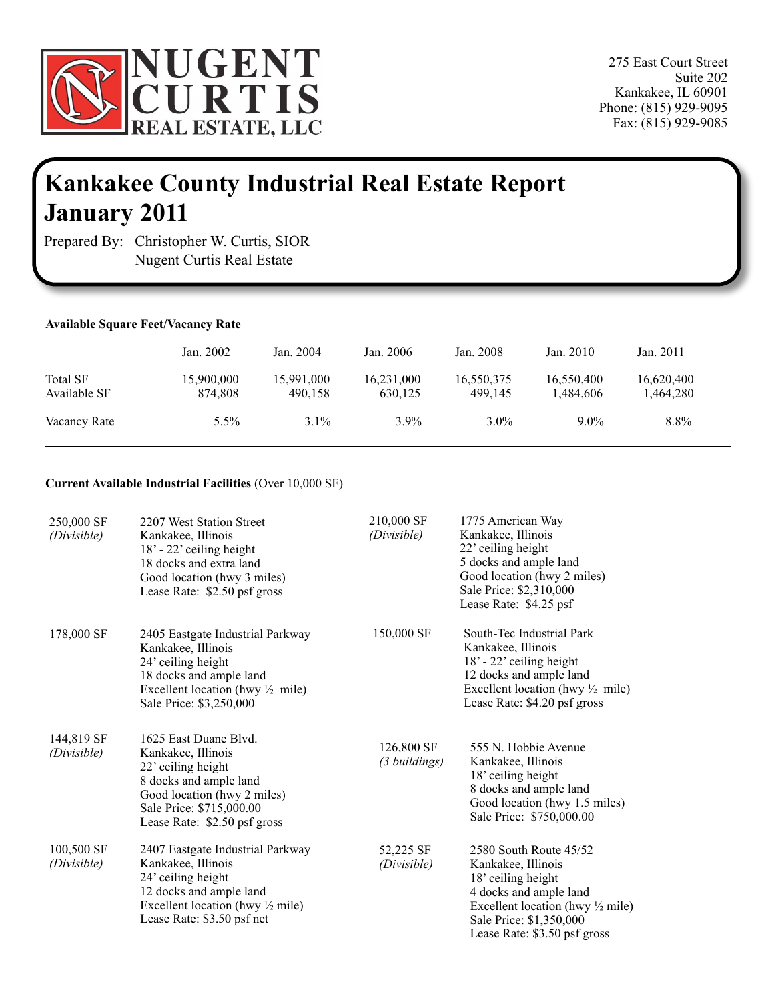

275 East Court Street Suite 202 Kankakee, IL 60901 Phone: (815) 929-9095 Fax: (815) 929-9085

# **Kankakee County Industrial Real Estate Report January 2011**

Prepared By: Christopher W. Curtis, SIOR Nugent Curtis Real Estate

## **Available Square Feet/Vacancy Rate**

ï

|                          | Jan. 2002             | Jan. 2004             | Jan. 2006             | Jan. 2008             | Jan. 2010               | Jan. 2011               |
|--------------------------|-----------------------|-----------------------|-----------------------|-----------------------|-------------------------|-------------------------|
| Total SF<br>Available SF | 15,900,000<br>874.808 | 15,991,000<br>490.158 | 16,231,000<br>630,125 | 16,550,375<br>499.145 | 16,550,400<br>1,484,606 | 16,620,400<br>1,464,280 |
| Vacancy Rate             | 5.5%                  | $3.1\%$               | $3.9\%$               | $3.0\%$               | $9.0\%$                 | 8.8%                    |

# **Current Available Industrial Facilities** (Over 10,000 SF)

| 250,000 SF<br>(Divisible) | 2207 West Station Street<br>Kankakee, Illinois<br>18' - 22' ceiling height<br>18 docks and extra land<br>Good location (hwy 3 miles)<br>Lease Rate: \$2.50 psf gross                   | 210,000 SF<br>(Divisible)   | 1775 American Way<br>Kankakee, Illinois<br>22' ceiling height<br>5 docks and ample land<br>Good location (hwy 2 miles)<br>Sale Price: \$2,310,000<br>Lease Rate: \$4.25 psf                            |
|---------------------------|----------------------------------------------------------------------------------------------------------------------------------------------------------------------------------------|-----------------------------|--------------------------------------------------------------------------------------------------------------------------------------------------------------------------------------------------------|
| 178,000 SF                | 2405 Eastgate Industrial Parkway<br>Kankakee, Illinois<br>24' ceiling height<br>18 docks and ample land<br>Excellent location (hwy $\frac{1}{2}$ mile)<br>Sale Price: \$3,250,000      | 150,000 SF                  | South-Tec Industrial Park<br>Kankakee, Illinois<br>$18' - 22'$ ceiling height<br>12 docks and ample land<br>Excellent location (hwy $\frac{1}{2}$ mile)<br>Lease Rate: \$4.20 psf gross                |
| 144,819 SF<br>(Divisible) | 1625 East Duane Blvd.<br>Kankakee, Illinois<br>22' ceiling height<br>8 docks and ample land<br>Good location (hwy 2 miles)<br>Sale Price: \$715,000.00<br>Lease Rate: \$2.50 psf gross | 126,800 SF<br>(3 buildings) | 555 N. Hobbie Avenue<br>Kankakee, Illinois<br>18' ceiling height<br>8 docks and ample land<br>Good location (hwy 1.5 miles)<br>Sale Price: \$750,000.00                                                |
| 100,500 SF<br>(Divisible) | 2407 Eastgate Industrial Parkway<br>Kankakee, Illinois<br>24' ceiling height<br>12 docks and ample land<br>Excellent location (hwy $\frac{1}{2}$ mile)<br>Lease Rate: \$3.50 psf net   | 52,225 SF<br>(Divisible)    | 2580 South Route 45/52<br>Kankakee, Illinois<br>18' ceiling height<br>4 docks and ample land<br>Excellent location (hwy $\frac{1}{2}$ mile)<br>Sale Price: \$1,350,000<br>Lease Rate: \$3.50 psf gross |